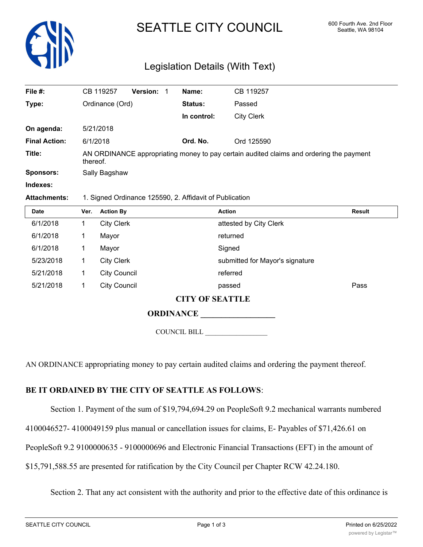

# SEATTLE CITY COUNCIL 600 Fourth Ave. 2nd Floor

# Legislation Details (With Text)

| File #:              | CB 119257                                                                                           | <b>Version:</b> | Name:       | CB 119257         |  |  |
|----------------------|-----------------------------------------------------------------------------------------------------|-----------------|-------------|-------------------|--|--|
| Type:                | Ordinance (Ord)                                                                                     |                 | Status:     | Passed            |  |  |
|                      |                                                                                                     |                 | In control: | <b>City Clerk</b> |  |  |
| On agenda:           | 5/21/2018                                                                                           |                 |             |                   |  |  |
| <b>Final Action:</b> | 6/1/2018                                                                                            |                 | Ord. No.    | Ord 125590        |  |  |
| Title:               | AN ORDINANCE appropriating money to pay certain audited claims and ordering the payment<br>thereof. |                 |             |                   |  |  |
| <b>Sponsors:</b>     | Sally Bagshaw                                                                                       |                 |             |                   |  |  |
| Indexes:             |                                                                                                     |                 |             |                   |  |  |
|                      |                                                                                                     |                 |             |                   |  |  |

#### **Attachments:** 1. Signed Ordinance 125590, 2. Affidavit of Publication

| <b>Date</b>            | Ver. | <b>Action By</b>    | <b>Action</b>                   | <b>Result</b> |  |  |  |
|------------------------|------|---------------------|---------------------------------|---------------|--|--|--|
| 6/1/2018               |      | <b>City Clerk</b>   | attested by City Clerk          |               |  |  |  |
| 6/1/2018               |      | Mayor               | returned                        |               |  |  |  |
| 6/1/2018               |      | Mayor               | Signed                          |               |  |  |  |
| 5/23/2018              |      | <b>City Clerk</b>   | submitted for Mayor's signature |               |  |  |  |
| 5/21/2018              |      | <b>City Council</b> | referred                        |               |  |  |  |
| 5/21/2018              |      | <b>City Council</b> | passed                          | Pass          |  |  |  |
| <b>CITY OF SEATTLE</b> |      |                     |                                 |               |  |  |  |

### **ORDINANCE**

COUNCIL BILL \_\_\_\_\_\_\_\_\_\_\_\_\_\_\_\_\_\_

AN ORDINANCE appropriating money to pay certain audited claims and ordering the payment thereof.

## **BE IT ORDAINED BY THE CITY OF SEATTLE AS FOLLOWS**:

Section 1. Payment of the sum of \$19,794,694.29 on PeopleSoft 9.2 mechanical warrants numbered

4100046527- 4100049159 plus manual or cancellation issues for claims, E- Payables of \$71,426.61 on

PeopleSoft 9.2 9100000635 - 9100000696 and Electronic Financial Transactions (EFT) in the amount of

\$15,791,588.55 are presented for ratification by the City Council per Chapter RCW 42.24.180.

Section 2. That any act consistent with the authority and prior to the effective date of this ordinance is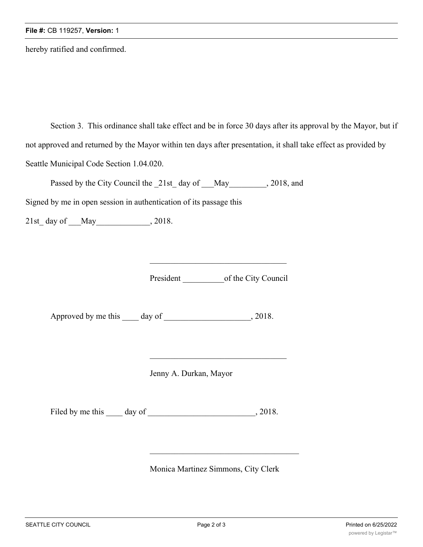hereby ratified and confirmed.

Section 3. This ordinance shall take effect and be in force 30 days after its approval by the Mayor, but if not approved and returned by the Mayor within ten days after presentation, it shall take effect as provided by Seattle Municipal Code Section 1.04.020.

Passed by the City Council the 21st day of May quality 2018, and

Signed by me in open session in authentication of its passage this

21st\_day of \_\_\_May \_\_\_\_\_\_\_\_\_\_\_\_\_, 2018.

President \_\_\_\_\_\_\_\_\_\_\_\_\_\_\_\_\_of the City Council

Approved by me this \_\_\_\_ day of \_\_\_\_\_\_\_\_\_\_\_\_\_\_\_\_\_\_\_, 2018.

Jenny A. Durkan, Mayor

Filed by me this day of  $\qquad \qquad$ , 2018.

Monica Martinez Simmons, City Clerk